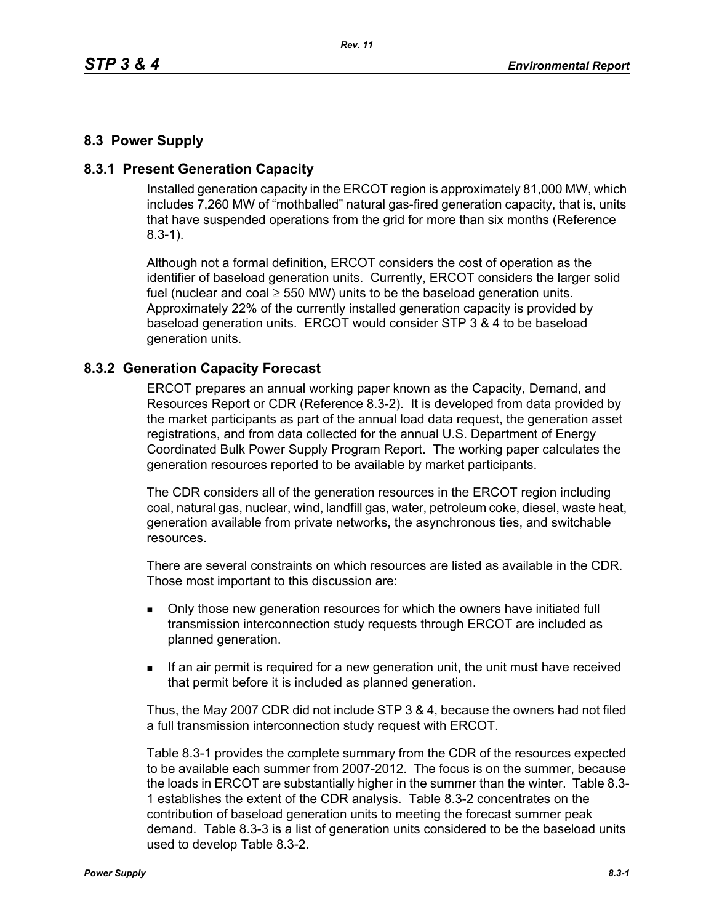## **8.3 Power Supply**

### **8.3.1 Present Generation Capacity**

Installed generation capacity in the ERCOT region is approximately 81,000 MW, which includes 7,260 MW of "mothballed" natural gas-fired generation capacity, that is, units that have suspended operations from the grid for more than six months (Reference 8.3-1).

Although not a formal definition, ERCOT considers the cost of operation as the identifier of baseload generation units. Currently, ERCOT considers the larger solid fuel (nuclear and coal  $\geq$  550 MW) units to be the baseload generation units. Approximately 22% of the currently installed generation capacity is provided by baseload generation units. ERCOT would consider STP 3 & 4 to be baseload generation units.

#### **8.3.2 Generation Capacity Forecast**

ERCOT prepares an annual working paper known as the Capacity, Demand, and Resources Report or CDR (Reference 8.3-2). It is developed from data provided by the market participants as part of the annual load data request, the generation asset registrations, and from data collected for the annual U.S. Department of Energy Coordinated Bulk Power Supply Program Report. The working paper calculates the generation resources reported to be available by market participants.

The CDR considers all of the generation resources in the ERCOT region including coal, natural gas, nuclear, wind, landfill gas, water, petroleum coke, diesel, waste heat, generation available from private networks, the asynchronous ties, and switchable resources.

There are several constraints on which resources are listed as available in the CDR. Those most important to this discussion are:

- **Drankler in Solvet** over a only those new generation resources for which the owners have initiated full transmission interconnection study requests through ERCOT are included as planned generation.
- If an air permit is required for a new generation unit, the unit must have received that permit before it is included as planned generation.

Thus, the May 2007 CDR did not include STP 3 & 4, because the owners had not filed a full transmission interconnection study request with ERCOT.

Table 8.3-1 provides the complete summary from the CDR of the resources expected to be available each summer from 2007-2012. The focus is on the summer, because the loads in ERCOT are substantially higher in the summer than the winter. Table 8.3- 1 establishes the extent of the CDR analysis. Table 8.3-2 concentrates on the contribution of baseload generation units to meeting the forecast summer peak demand. Table 8.3-3 is a list of generation units considered to be the baseload units used to develop Table 8.3-2.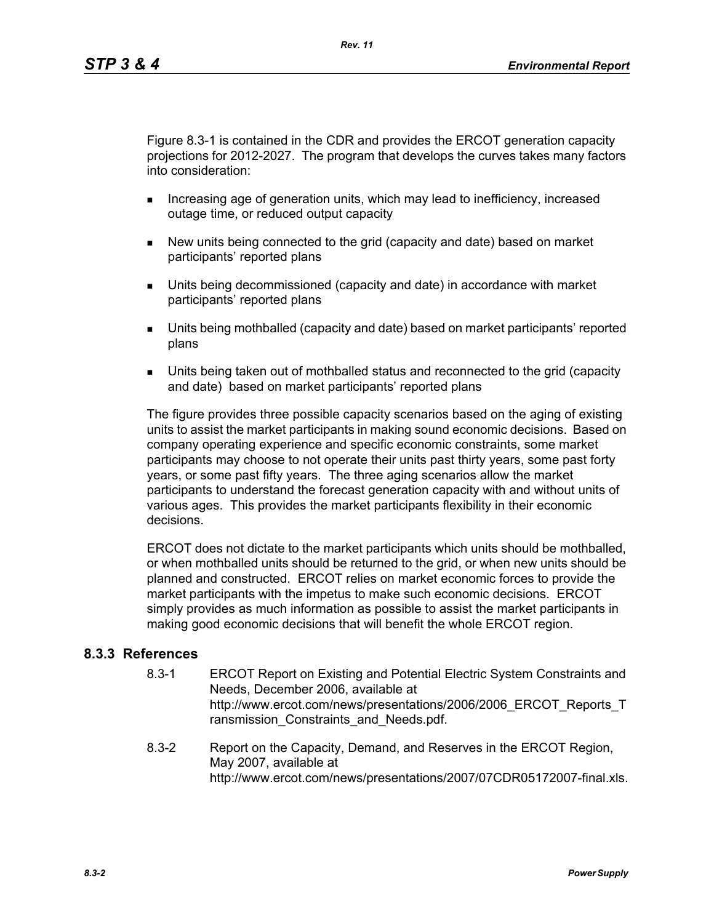Figure 8.3-1 is contained in the CDR and provides the ERCOT generation capacity projections for 2012-2027. The program that develops the curves takes many factors into consideration:

- **Increasing age of generation units, which may lead to inefficiency, increased** outage time, or reduced output capacity
- New units being connected to the grid (capacity and date) based on market participants' reported plans
- Units being decommissioned (capacity and date) in accordance with market participants' reported plans
- Units being mothballed (capacity and date) based on market participants' reported plans
- Units being taken out of mothballed status and reconnected to the grid (capacity and date) based on market participants' reported plans

The figure provides three possible capacity scenarios based on the aging of existing units to assist the market participants in making sound economic decisions. Based on company operating experience and specific economic constraints, some market participants may choose to not operate their units past thirty years, some past forty years, or some past fifty years. The three aging scenarios allow the market participants to understand the forecast generation capacity with and without units of various ages. This provides the market participants flexibility in their economic decisions.

ERCOT does not dictate to the market participants which units should be mothballed, or when mothballed units should be returned to the grid, or when new units should be planned and constructed. ERCOT relies on market economic forces to provide the market participants with the impetus to make such economic decisions. ERCOT simply provides as much information as possible to assist the market participants in making good economic decisions that will benefit the whole ERCOT region.

### **8.3.3 References**

- 8.3-1 ERCOT Report on Existing and Potential Electric System Constraints and Needs, December 2006, available at http://www.ercot.com/news/presentations/2006/2006\_ERCOT\_Reports\_T ransmission Constraints and Needs.pdf.
- 8.3-2 Report on the Capacity, Demand, and Reserves in the ERCOT Region, May 2007, available at http://www.ercot.com/news/presentations/2007/07CDR05172007-final.xls.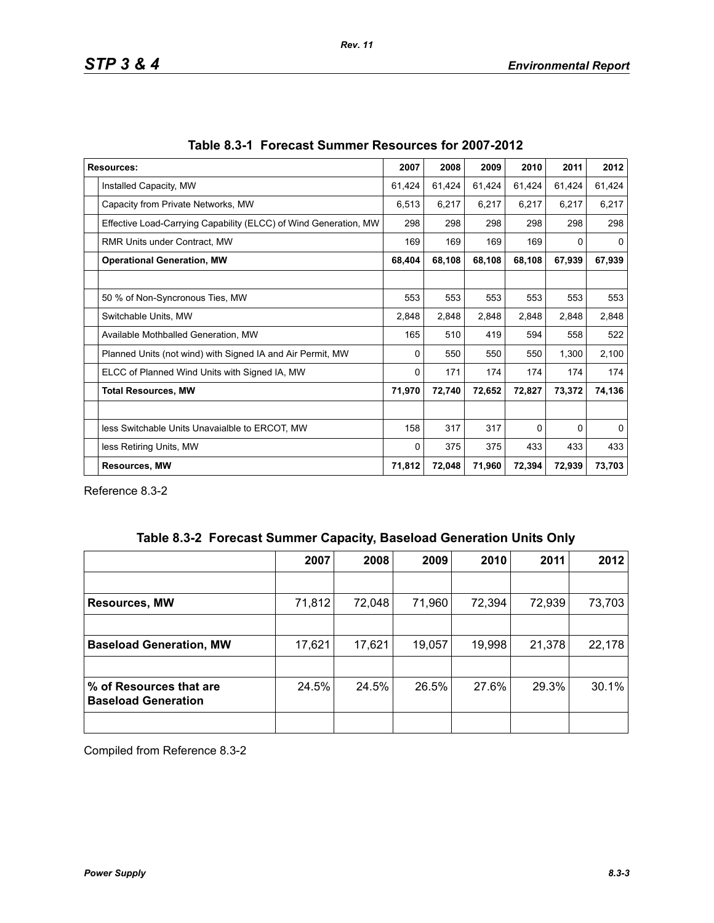| <b>Resources:</b>                                                | 2007   | 2008   | 2009   | 2010     | 2011   | 2012     |
|------------------------------------------------------------------|--------|--------|--------|----------|--------|----------|
| Installed Capacity, MW                                           | 61,424 | 61,424 | 61,424 | 61,424   | 61,424 | 61,424   |
| Capacity from Private Networks, MW                               | 6,513  | 6,217  | 6,217  | 6,217    | 6,217  | 6,217    |
| Effective Load-Carrying Capability (ELCC) of Wind Generation, MW | 298    | 298    | 298    | 298      | 298    | 298      |
| RMR Units under Contract, MW                                     | 169    | 169    | 169    | 169      | 0      | $\Omega$ |
| <b>Operational Generation, MW</b>                                |        | 68,108 | 68,108 | 68,108   | 67,939 | 67,939   |
|                                                                  |        |        |        |          |        |          |
| 50 % of Non-Syncronous Ties, MW                                  | 553    | 553    | 553    | 553      | 553    | 553      |
| Switchable Units, MW                                             | 2,848  | 2,848  | 2,848  | 2,848    | 2,848  | 2,848    |
| Available Mothballed Generation, MW                              | 165    | 510    | 419    | 594      | 558    | 522      |
| Planned Units (not wind) with Signed IA and Air Permit, MW       | 0      | 550    | 550    | 550      | 1,300  | 2,100    |
| ELCC of Planned Wind Units with Signed IA, MW                    | 0      | 171    | 174    | 174      | 174    | 174      |
| <b>Total Resources, MW</b>                                       | 71,970 | 72,740 | 72,652 | 72,827   | 73,372 | 74,136   |
|                                                                  |        |        |        |          |        |          |
| less Switchable Units Unavaialble to ERCOT, MW                   | 158    | 317    | 317    | $\Omega$ | 0      | $\Omega$ |
| less Retiring Units, MW                                          | 0      | 375    | 375    | 433      | 433    | 433      |
| <b>Resources, MW</b>                                             |        | 72,048 | 71,960 | 72,394   | 72,939 | 73,703   |

Reference 8.3-2

|  | Table 8.3-2 Forecast Summer Capacity, Baseload Generation Units Only |  |  |  |  |
|--|----------------------------------------------------------------------|--|--|--|--|
|--|----------------------------------------------------------------------|--|--|--|--|

|                                                       | 2007   | 2008   | 2009   | 2010   | 2011   | 2012   |
|-------------------------------------------------------|--------|--------|--------|--------|--------|--------|
|                                                       |        |        |        |        |        |        |
| <b>Resources, MW</b>                                  | 71,812 | 72,048 | 71,960 | 72,394 | 72,939 | 73,703 |
|                                                       |        |        |        |        |        |        |
| <b>Baseload Generation, MW</b>                        | 17,621 | 17,621 | 19,057 | 19,998 | 21,378 | 22,178 |
|                                                       |        |        |        |        |        |        |
| % of Resources that are<br><b>Baseload Generation</b> | 24.5%  | 24.5%  | 26.5%  | 27.6%  | 29.3%  | 30.1%  |
|                                                       |        |        |        |        |        |        |

Compiled from Reference 8.3-2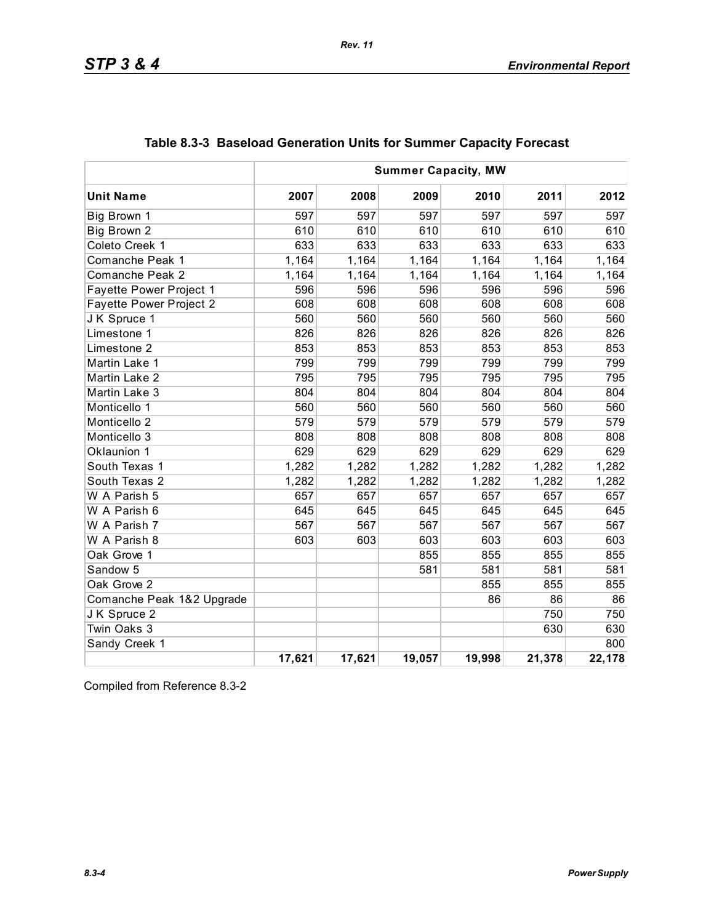|                           | <b>Summer Capacity, MW</b> |        |        |        |        |        |
|---------------------------|----------------------------|--------|--------|--------|--------|--------|
| <b>Unit Name</b>          | 2007                       | 2008   | 2009   | 2010   | 2011   | 2012   |
| Big Brown 1               | 597                        | 597    | 597    | 597    | 597    | 597    |
| Big Brown 2               | 610                        | 610    | 610    | 610    | 610    | 610    |
| Coleto Creek 1            | 633                        | 633    | 633    | 633    | 633    | 633    |
| Comanche Peak 1           | 1,164                      | 1,164  | 1,164  | 1,164  | 1,164  | 1,164  |
| Comanche Peak 2           | 1,164                      | 1,164  | 1,164  | 1,164  | 1,164  | 1,164  |
| Fayette Power Project 1   | 596                        | 596    | 596    | 596    | 596    | 596    |
| Fayette Power Project 2   | 608                        | 608    | 608    | 608    | 608    | 608    |
| J K Spruce 1              | 560                        | 560    | 560    | 560    | 560    | 560    |
| Limestone 1               | 826                        | 826    | 826    | 826    | 826    | 826    |
| Limestone 2               | 853                        | 853    | 853    | 853    | 853    | 853    |
| Martin Lake 1             | 799                        | 799    | 799    | 799    | 799    | 799    |
| Martin Lake 2             | 795                        | 795    | 795    | 795    | 795    | 795    |
| Martin Lake 3             | 804                        | 804    | 804    | 804    | 804    | 804    |
| Monticello 1              | 560                        | 560    | 560    | 560    | 560    | 560    |
| Monticello <sub>2</sub>   | 579                        | 579    | 579    | 579    | 579    | 579    |
| Monticello 3              | 808                        | 808    | 808    | 808    | 808    | 808    |
| Oklaunion 1               | 629                        | 629    | 629    | 629    | 629    | 629    |
| South Texas 1             | 1,282                      | 1,282  | 1,282  | 1,282  | 1,282  | 1,282  |
| South Texas 2             | 1,282                      | 1,282  | 1,282  | 1,282  | 1,282  | 1,282  |
| W A Parish 5              | 657                        | 657    | 657    | 657    | 657    | 657    |
| W A Parish 6              | 645                        | 645    | 645    | 645    | 645    | 645    |
| W A Parish 7              | 567                        | 567    | 567    | 567    | 567    | 567    |
| W A Parish 8              | 603                        | 603    | 603    | 603    | 603    | 603    |
| Oak Grove 1               |                            |        | 855    | 855    | 855    | 855    |
| Sandow <sub>5</sub>       |                            |        | 581    | 581    | 581    | 581    |
| Oak Grove 2               |                            |        |        | 855    | 855    | 855    |
| Comanche Peak 1&2 Upgrade |                            |        |        | 86     | 86     | 86     |
| J K Spruce 2              |                            |        |        |        | 750    | 750    |
| Twin Oaks 3               |                            |        |        |        | 630    | 630    |
| Sandy Creek 1             |                            |        |        |        |        | 800    |
|                           | 17,621                     | 17,621 | 19,057 | 19,998 | 21,378 | 22,178 |

# **Table 8.3-3 Baseload Generation Units for Summer Capacity Forecast**

Compiled from Reference 8.3-2